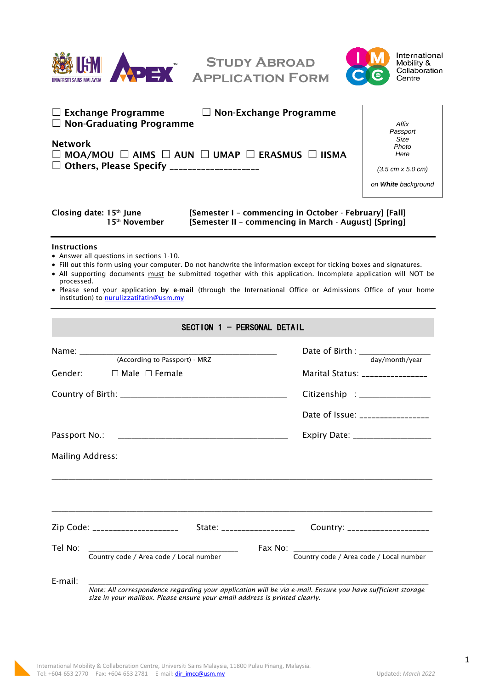

**Study Abroad Application Form**



| $\Box$ Exchange Programme<br>$\Box$ Non-Graduating Programme<br><b>Network</b><br>$\Box$ MOA/MOU $\Box$ AIMS $\Box$ AUN $\Box$ UMAP $\Box$ ERASMUS $\Box$ IISMA<br>□ Others, Please Specify ____________________                                                                                                                                                                                                                                                                   | $\Box$ Non-Exchange Programme<br>Affix<br>Passport<br>Size<br>Photo<br>Here<br>$(3.5 \text{ cm} \times 5.0 \text{ cm})$<br>on White background |
|------------------------------------------------------------------------------------------------------------------------------------------------------------------------------------------------------------------------------------------------------------------------------------------------------------------------------------------------------------------------------------------------------------------------------------------------------------------------------------|------------------------------------------------------------------------------------------------------------------------------------------------|
| Closing date: 15th June<br>15 <sup>th</sup> November                                                                                                                                                                                                                                                                                                                                                                                                                               | [Semester I - commencing in October - February] [Fall]<br>[Semester II - commencing in March - August] [Spring]                                |
| <b>Instructions</b><br>• Answer all questions in sections 1-10.<br>. Fill out this form using your computer. Do not handwrite the information except for ticking boxes and signatures.<br>• All supporting documents must be submitted together with this application. Incomplete application will NOT be<br>processed.<br>. Please send your application by e-mail (through the International Office or Admissions Office of your home<br>institution) to nurulizzatifatin@usm.my |                                                                                                                                                |
| SECTION 1 - PERSONAL DETAIL                                                                                                                                                                                                                                                                                                                                                                                                                                                        |                                                                                                                                                |
| (According to Passport) - MRZ<br>Gender:<br>$\Box$ Male $\Box$ Female                                                                                                                                                                                                                                                                                                                                                                                                              | day/month/year<br>Marital Status: ________________<br>Date of Issue: _________________                                                         |
| Passport No.:<br><b>Mailing Address:</b>                                                                                                                                                                                                                                                                                                                                                                                                                                           |                                                                                                                                                |
| Zip Code: _____________________<br>State: ___________________                                                                                                                                                                                                                                                                                                                                                                                                                      | Country: ____________________                                                                                                                  |
| Tel No:<br>Country code / Area code / Local number                                                                                                                                                                                                                                                                                                                                                                                                                                 | Fax No:<br>Country code / Area code / Local number                                                                                             |
| E-mail:<br>Note: All correspondence regarding your application will be via e-mail. Ensure you have sufficient storage<br>size in your mailbox. Please ensure your email address is printed clearly.                                                                                                                                                                                                                                                                                |                                                                                                                                                |

1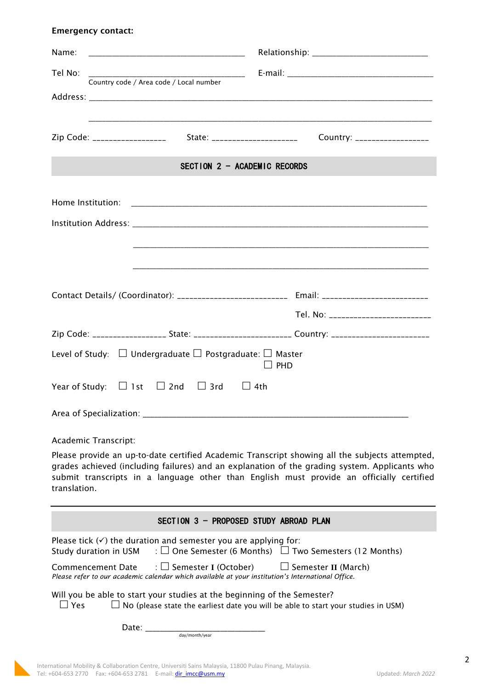## Emergency contact:

| Name:                                                                                                                                                                                                                                                                                                       |                                                                                                     |  |
|-------------------------------------------------------------------------------------------------------------------------------------------------------------------------------------------------------------------------------------------------------------------------------------------------------------|-----------------------------------------------------------------------------------------------------|--|
| Tel No:                                                                                                                                                                                                                                                                                                     |                                                                                                     |  |
| Country code / Area code / Local number                                                                                                                                                                                                                                                                     |                                                                                                     |  |
|                                                                                                                                                                                                                                                                                                             |                                                                                                     |  |
|                                                                                                                                                                                                                                                                                                             |                                                                                                     |  |
| SECTION 2 - ACADEMIC RECORDS                                                                                                                                                                                                                                                                                |                                                                                                     |  |
| Home Institution:                                                                                                                                                                                                                                                                                           |                                                                                                     |  |
|                                                                                                                                                                                                                                                                                                             |                                                                                                     |  |
|                                                                                                                                                                                                                                                                                                             |                                                                                                     |  |
|                                                                                                                                                                                                                                                                                                             |                                                                                                     |  |
|                                                                                                                                                                                                                                                                                                             |                                                                                                     |  |
|                                                                                                                                                                                                                                                                                                             | Contact Details/ (Coordinator): ___________________________ Email: _________________________        |  |
|                                                                                                                                                                                                                                                                                                             | Tel. No: __________________________                                                                 |  |
|                                                                                                                                                                                                                                                                                                             | Zip Code: ___________________ State: __________________________ Country: __________________________ |  |
| Level of Study: $\Box$ Undergraduate $\Box$ Postgraduate: $\Box$ Master<br>PHD                                                                                                                                                                                                                              |                                                                                                     |  |
| Year of Study: $\Box$ 1st $\Box$ 2nd $\Box$ 3rd $\Box$ 4th                                                                                                                                                                                                                                                  |                                                                                                     |  |
| Area of Specialization:                                                                                                                                                                                                                                                                                     |                                                                                                     |  |
| Academic Transcript:                                                                                                                                                                                                                                                                                        |                                                                                                     |  |
| Please provide an up-to-date certified Academic Transcript showing all the subjects attempted,<br>grades achieved (including failures) and an explanation of the grading system. Applicants who<br>submit transcripts in a language other than English must provide an officially certified<br>translation. |                                                                                                     |  |
| SECTION 3 - PROPOSED STUDY ABROAD PLAN                                                                                                                                                                                                                                                                      |                                                                                                     |  |
| Please tick $(\checkmark)$ the duration and semester you are applying for:<br>Study duration in USM $\therefore$ $\Box$ One Semester (6 Months) $\Box$ Two Semesters (12 Months)                                                                                                                            |                                                                                                     |  |
| Commencement Date $\Box$ Semester I (October)<br>$\Box$ Semester II (March)<br>Please refer to our academic calendar which available at your institution's International Office.                                                                                                                            |                                                                                                     |  |
| Will you be able to start your studies at the beginning of the Semester?<br>$\Box$ Yes                                                                                                                                                                                                                      | $\Box$ No (please state the earliest date you will be able to start your studies in USM)            |  |
| Date: the part of the part of the part of the part of the part of the part of the part of the part of the part of the part of the part of the part of the part of the part of the part of the part of the part of the part of<br>day/month/year                                                             |                                                                                                     |  |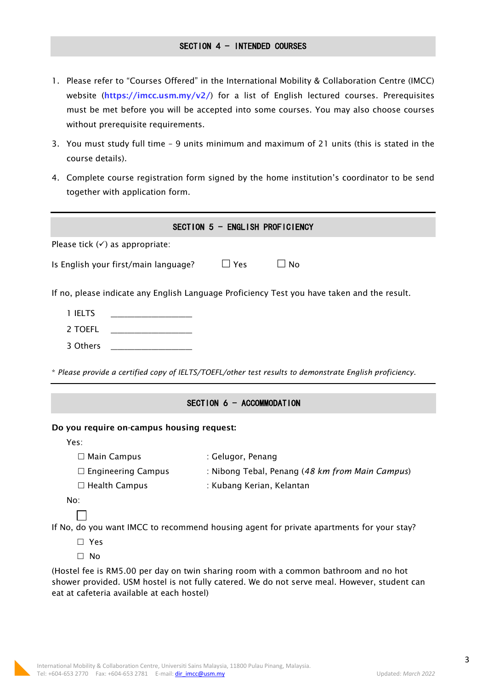## SECTION 4 - INTENDED COURSES

- 1. Please refer to "Courses Offered" in the International Mobility & Collaboration Centre (IMCC) website (https://imcc.usm.my/v2/) for a list of English lectured courses. Prerequisites must be met before you will be accepted into some courses. You may also choose courses without prerequisite requirements.
- 3. You must study full time 9 units minimum and maximum of 21 units (this is stated in the course details).
- 4. Complete course registration form signed by the home institution's coordinator to be send together with application form.

| SECTION 5 - ENGLISH PROFICIENCY                                                                         |                                                 |  |
|---------------------------------------------------------------------------------------------------------|-------------------------------------------------|--|
| Please tick $(\checkmark)$ as appropriate:                                                              |                                                 |  |
| Is English your first/main language?                                                                    | $\square$ Yes<br>$\sqcup$ No                    |  |
| If no, please indicate any English Language Proficiency Test you have taken and the result.             |                                                 |  |
| 1 IELTS<br><u> 1980 - Johann Barbara, martxa al III-lea (h. 1974).</u>                                  |                                                 |  |
| 2 TOEFL                                                                                                 |                                                 |  |
| 3 Others                                                                                                |                                                 |  |
| * Please provide a certified copy of IELTS/TOEFL/other test results to demonstrate English proficiency. |                                                 |  |
| SECTION 6 - ACCOMMODATION                                                                               |                                                 |  |
| Do you require on-campus housing request:                                                               |                                                 |  |
| Yes:                                                                                                    |                                                 |  |
| $\Box$ Main Campus                                                                                      | : Gelugor, Penang                               |  |
| $\Box$ Engineering Campus                                                                               | : Nibong Tebal, Penang (48 km from Main Campus) |  |
| $\Box$ Health Campus                                                                                    | : Kubang Kerian, Kelantan                       |  |
| No:                                                                                                     |                                                 |  |
|                                                                                                         |                                                 |  |

If No, do you want IMCC to recommend housing agent for private apartments for your stay?

- Yes
- □ No

(Hostel fee is RM5.00 per day on twin sharing room with a common bathroom and no hot shower provided. USM hostel is not fully catered. We do not serve meal. However, student can eat at cafeteria available at each hostel)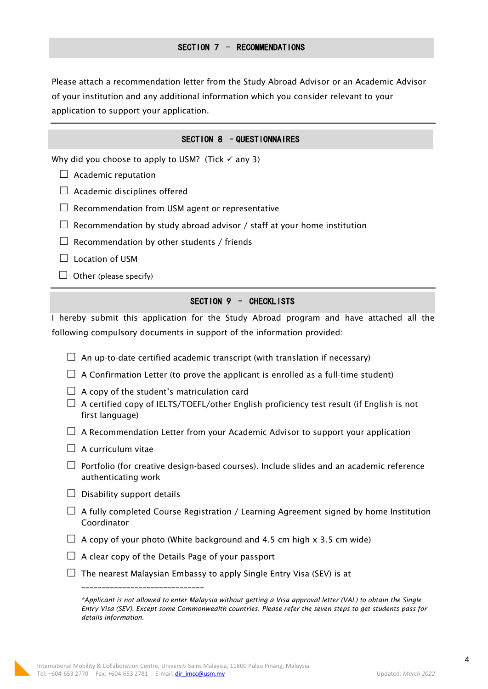Please attach a recommendation letter from the Study Abroad Advisor or an Academic Advisor of your institution and any additional information which you consider relevant to your application to support your application.

# SECTION 8 - QUESTIONNAIRES

Why did you choose to apply to USM? (Tick  $\checkmark$  any 3)

- $\Box$  Academic reputation
- $\Box$  Academic disciplines offered
- $\Box$  Recommendation from USM agent or representative
- $\Box$  Recommendation by study abroad advisor / staff at your home institution
- $\Box$  Recommendation by other students / friends
- $\Box$  Location of USM
- $\Box$  Other (please specify)

## SECTION 9 – CHECKLISTS

I hereby submit this application for the Study Abroad program and have attached all the following compulsory documents in support of the information provided:

- $\Box$  An up-to-date certified academic transcript (with translation if necessary)
- $\Box$  A Confirmation Letter (to prove the applicant is enrolled as a full-time student)
- $\Box$  A copy of the student's matriculation card
- $\Box$  A certified copy of IELTS/TOEFL/other English proficiency test result (if English is not first language)
- $\Box$  A Recommendation Letter from your Academic Advisor to support your application
- $\Box$  A curriculum vitae
- $\Box$  Portfolio (for creative design-based courses). Include slides and an academic reference authenticating work
- $\Box$  Disability support details
- $\Box$  A fully completed Course Registration / Learning Agreement signed by home Institution Coordinator
- $\Box$  A copy of your photo (White background and 4.5 cm high x 3.5 cm wide)
- $\Box$  A clear copy of the Details Page of your passport

\_\_\_\_\_\_\_\_\_\_\_\_\_\_\_\_\_\_\_\_\_\_\_\_\_\_\_\_\_\_

 $\Box$  The nearest Malaysian Embassy to apply Single Entry Visa (SEV) is at

*<sup>\*</sup>Applicant is not allowed to enter Malaysia without getting a Visa approval letter (VAL) to obtain the Single Entry Visa (SEV). Except some Commonwealth countries. Please refer the seven steps to get students pass for details information.*